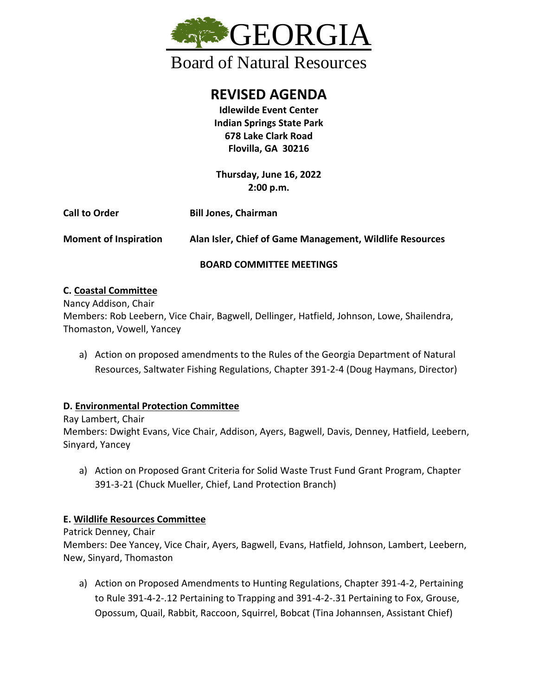

**REVISED AGENDA**

**Idlewilde Event Center Indian Springs State Park 678 Lake Clark Road Flovilla, GA 30216**

**Thursday, June 16, 2022 2:00 p.m.**

| <b>Call to Order</b>         | <b>Bill Jones, Chairman</b>                              |
|------------------------------|----------------------------------------------------------|
| <b>Moment of Inspiration</b> | Alan Isler, Chief of Game Management, Wildlife Resources |

### **BOARD COMMITTEE MEETINGS**

# **C. Coastal Committee**

Nancy Addison, Chair Members: Rob Leebern, Vice Chair, Bagwell, Dellinger, Hatfield, Johnson, Lowe, Shailendra, Thomaston, Vowell, Yancey

a) Action on proposed amendments to the Rules of the Georgia Department of Natural Resources, Saltwater Fishing Regulations, Chapter 391-2-4 (Doug Haymans, Director)

# **D. Environmental Protection Committee**

Ray Lambert, Chair Members: Dwight Evans, Vice Chair, Addison, Ayers, Bagwell, Davis, Denney, Hatfield, Leebern, Sinyard, Yancey

a) Action on Proposed Grant Criteria for Solid Waste Trust Fund Grant Program, Chapter 391-3-21 (Chuck Mueller, Chief, Land Protection Branch)

# **E. Wildlife Resources Committee**

Patrick Denney, Chair

Members: Dee Yancey, Vice Chair, Ayers, Bagwell, Evans, Hatfield, Johnson, Lambert, Leebern, New, Sinyard, Thomaston

a) Action on Proposed Amendments to Hunting Regulations, Chapter 391-4-2, Pertaining to Rule 391-4-2-.12 Pertaining to Trapping and 391-4-2-.31 Pertaining to Fox, Grouse, Opossum, Quail, Rabbit, Raccoon, Squirrel, Bobcat (Tina Johannsen, Assistant Chief)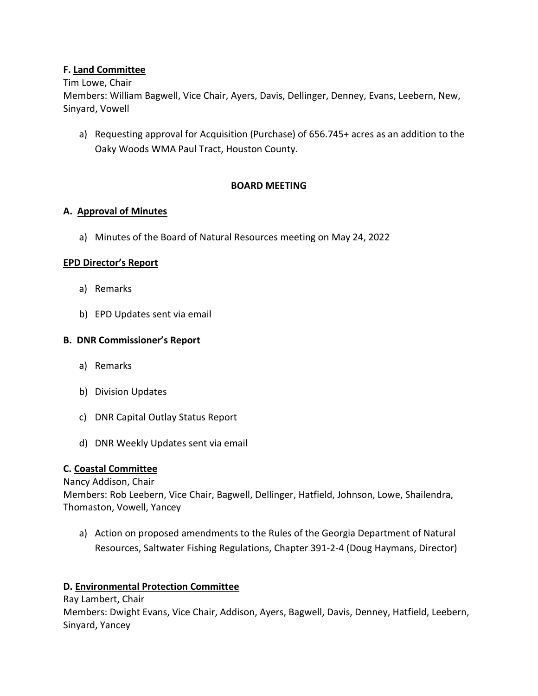### **F. Land Committee**

#### Tim Lowe, Chair

Members: William Bagwell, Vice Chair, Ayers, Davis, Dellinger, Denney, Evans, Leebern, New, Sinyard, Vowell

a) Requesting approval for Acquisition (Purchase) of 656.745+ acres as an addition to the Oaky Woods WMA Paul Tract, Houston County.

### **BOARD MEETING**

### **A. Approval of Minutes**

a) Minutes of the Board of Natural Resources meeting on May 24, 2022

#### **EPD Director's Report**

- a) Remarks
- b) EPD Updates sent via email

### **B. DNR Commissioner's Report**

- a) Remarks
- b) Division Updates
- c) DNR Capital Outlay Status Report
- d) DNR Weekly Updates sent via email

### **C. Coastal Committee**

#### Nancy Addison, Chair

Members: Rob Leebern, Vice Chair, Bagwell, Dellinger, Hatfield, Johnson, Lowe, Shailendra, Thomaston, Vowell, Yancey

a) Action on proposed amendments to the Rules of the Georgia Department of Natural Resources, Saltwater Fishing Regulations, Chapter 391-2-4 (Doug Haymans, Director)

### **D. Environmental Protection Committee**

Ray Lambert, Chair Members: Dwight Evans, Vice Chair, Addison, Ayers, Bagwell, Davis, Denney, Hatfield, Leebern, Sinyard, Yancey